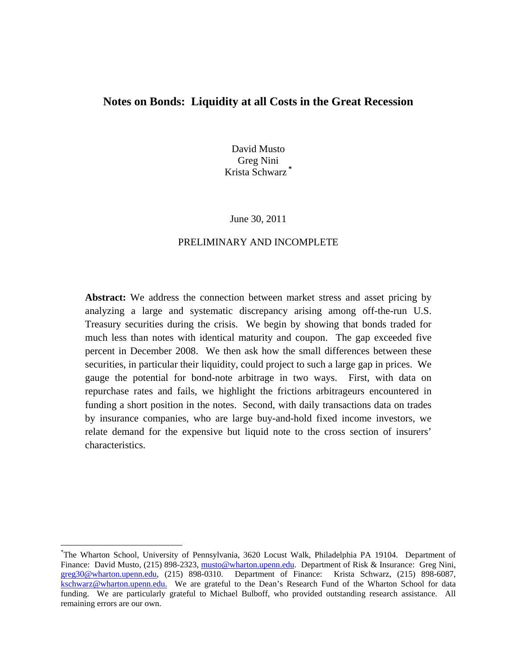# **Notes on Bonds: Liquidity at all Costs in the Great Recession**

David Musto Greg Nini Krista Schwarz **\***

#### June 30, 2011

## PRELIMINARY AND INCOMPLETE

Abstract: We address the connection between market stress and asset pricing by analyzing a large and systematic discrepancy arising among off-the-run U.S. Treasury securities during the crisis. We begin by showing that bonds traded for much less than notes with identical maturity and coupon. The gap exceeded five percent in December 2008. We then ask how the small differences between these securities, in particular their liquidity, could project to such a large gap in prices. We gauge the potential for bond-note arbitrage in two ways. First, with data on repurchase rates and fails, we highlight the frictions arbitrageurs encountered in funding a short position in the notes. Second, with daily transactions data on trades by insurance companies, who are large buy-and-hold fixed income investors, we relate demand for the expensive but liquid note to the cross section of insurers' characteristics.

<sup>\*</sup> The Wharton School, University of Pennsylvania, 3620 Locust Walk, Philadelphia PA 19104. Department of Finance: David Musto, (215) 898-2323, musto@wharton.upenn.edu. Department of Risk & Insurance: Greg Nini, greg30@wharton.upenn.edu, (215) 898-0310. Department of Finance: Krista Schwarz, (215) 898-6087, kschwarz@wharton.upenn.edu. We are grateful to the Dean's Research Fund of the Wharton School for data funding. We are particularly grateful to Michael Bulboff, who provided outstanding research assistance. All remaining errors are our own.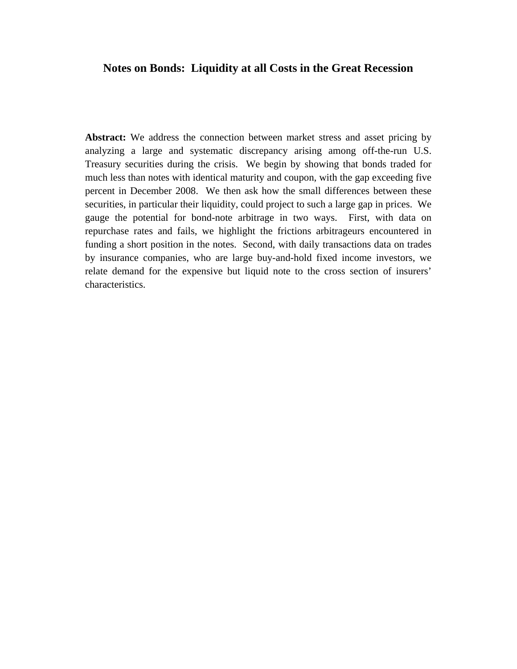# **Notes on Bonds: Liquidity at all Costs in the Great Recession**

**Abstract:** We address the connection between market stress and asset pricing by analyzing a large and systematic discrepancy arising among off-the-run U.S. Treasury securities during the crisis. We begin by showing that bonds traded for much less than notes with identical maturity and coupon, with the gap exceeding five percent in December 2008. We then ask how the small differences between these securities, in particular their liquidity, could project to such a large gap in prices. We gauge the potential for bond-note arbitrage in two ways. First, with data on repurchase rates and fails, we highlight the frictions arbitrageurs encountered in funding a short position in the notes. Second, with daily transactions data on trades by insurance companies, who are large buy-and-hold fixed income investors, we relate demand for the expensive but liquid note to the cross section of insurers' characteristics.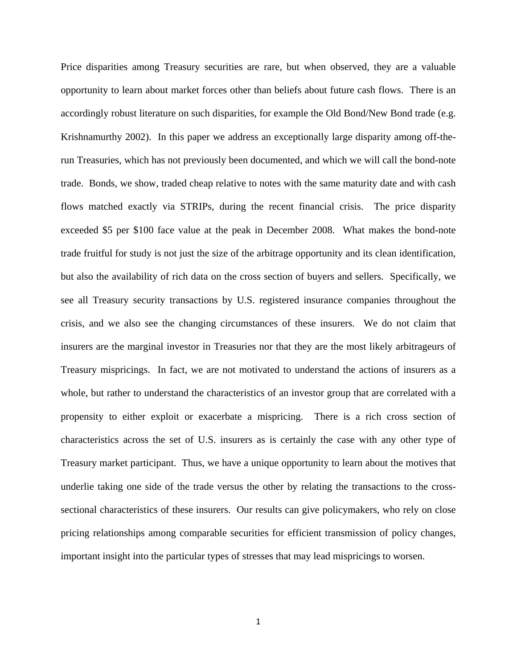Price disparities among Treasury securities are rare, but when observed, they are a valuable opportunity to learn about market forces other than beliefs about future cash flows. There is an accordingly robust literature on such disparities, for example the Old Bond/New Bond trade (e.g. Krishnamurthy 2002). In this paper we address an exceptionally large disparity among off-therun Treasuries, which has not previously been documented, and which we will call the bond-note trade. Bonds, we show, traded cheap relative to notes with the same maturity date and with cash flows matched exactly via STRIPs, during the recent financial crisis. The price disparity exceeded \$5 per \$100 face value at the peak in December 2008. What makes the bond-note trade fruitful for study is not just the size of the arbitrage opportunity and its clean identification, but also the availability of rich data on the cross section of buyers and sellers. Specifically, we see all Treasury security transactions by U.S. registered insurance companies throughout the crisis, and we also see the changing circumstances of these insurers. We do not claim that insurers are the marginal investor in Treasuries nor that they are the most likely arbitrageurs of Treasury mispricings. In fact, we are not motivated to understand the actions of insurers as a whole, but rather to understand the characteristics of an investor group that are correlated with a propensity to either exploit or exacerbate a mispricing. There is a rich cross section of characteristics across the set of U.S. insurers as is certainly the case with any other type of Treasury market participant. Thus, we have a unique opportunity to learn about the motives that underlie taking one side of the trade versus the other by relating the transactions to the crosssectional characteristics of these insurers. Our results can give policymakers, who rely on close pricing relationships among comparable securities for efficient transmission of policy changes, important insight into the particular types of stresses that may lead mispricings to worsen.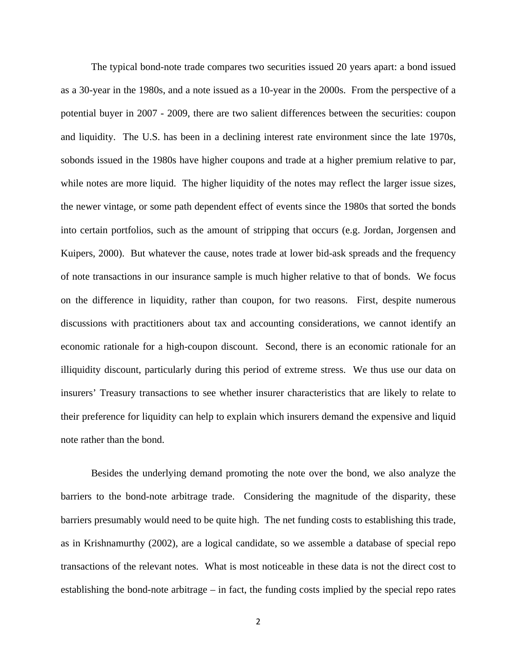The typical bond-note trade compares two securities issued 20 years apart: a bond issued as a 30-year in the 1980s, and a note issued as a 10-year in the 2000s. From the perspective of a potential buyer in 2007 - 2009, there are two salient differences between the securities: coupon and liquidity. The U.S. has been in a declining interest rate environment since the late 1970s, sobonds issued in the 1980s have higher coupons and trade at a higher premium relative to par, while notes are more liquid. The higher liquidity of the notes may reflect the larger issue sizes, the newer vintage, or some path dependent effect of events since the 1980s that sorted the bonds into certain portfolios, such as the amount of stripping that occurs (e.g. Jordan, Jorgensen and Kuipers, 2000). But whatever the cause, notes trade at lower bid-ask spreads and the frequency of note transactions in our insurance sample is much higher relative to that of bonds. We focus on the difference in liquidity, rather than coupon, for two reasons. First, despite numerous discussions with practitioners about tax and accounting considerations, we cannot identify an economic rationale for a high-coupon discount. Second, there is an economic rationale for an illiquidity discount, particularly during this period of extreme stress. We thus use our data on insurers' Treasury transactions to see whether insurer characteristics that are likely to relate to their preference for liquidity can help to explain which insurers demand the expensive and liquid note rather than the bond.

 Besides the underlying demand promoting the note over the bond, we also analyze the barriers to the bond-note arbitrage trade. Considering the magnitude of the disparity, these barriers presumably would need to be quite high. The net funding costs to establishing this trade, as in Krishnamurthy (2002), are a logical candidate, so we assemble a database of special repo transactions of the relevant notes. What is most noticeable in these data is not the direct cost to establishing the bond-note arbitrage – in fact, the funding costs implied by the special repo rates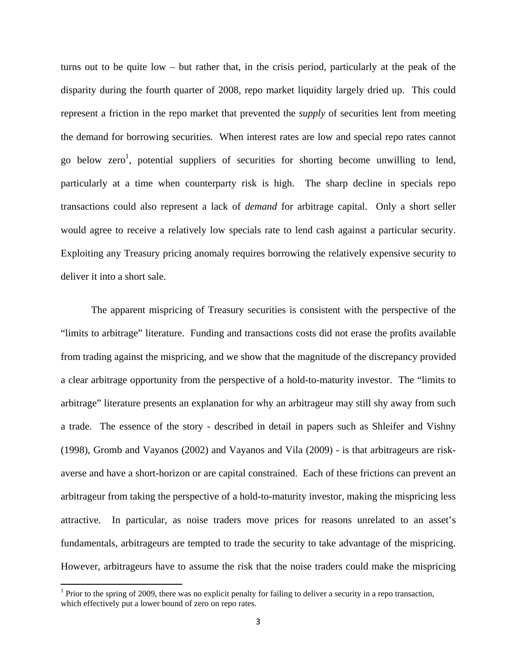turns out to be quite low – but rather that, in the crisis period, particularly at the peak of the disparity during the fourth quarter of 2008, repo market liquidity largely dried up. This could represent a friction in the repo market that prevented the *supply* of securities lent from meeting the demand for borrowing securities. When interest rates are low and special repo rates cannot go below zero<sup>1</sup>, potential suppliers of securities for shorting become unwilling to lend, particularly at a time when counterparty risk is high. The sharp decline in specials repo transactions could also represent a lack of *demand* for arbitrage capital. Only a short seller would agree to receive a relatively low specials rate to lend cash against a particular security. Exploiting any Treasury pricing anomaly requires borrowing the relatively expensive security to deliver it into a short sale.

The apparent mispricing of Treasury securities is consistent with the perspective of the "limits to arbitrage" literature. Funding and transactions costs did not erase the profits available from trading against the mispricing, and we show that the magnitude of the discrepancy provided a clear arbitrage opportunity from the perspective of a hold-to-maturity investor. The "limits to arbitrage" literature presents an explanation for why an arbitrageur may still shy away from such a trade. The essence of the story - described in detail in papers such as Shleifer and Vishny (1998), Gromb and Vayanos (2002) and Vayanos and Vila (2009) - is that arbitrageurs are riskaverse and have a short-horizon or are capital constrained. Each of these frictions can prevent an arbitrageur from taking the perspective of a hold-to-maturity investor, making the mispricing less attractive. In particular, as noise traders move prices for reasons unrelated to an asset's fundamentals, arbitrageurs are tempted to trade the security to take advantage of the mispricing. However, arbitrageurs have to assume the risk that the noise traders could make the mispricing

<sup>&</sup>lt;sup>1</sup> Prior to the spring of 2009, there was no explicit penalty for failing to deliver a security in a repo transaction, which effectively put a lower bound of zero on repo rates.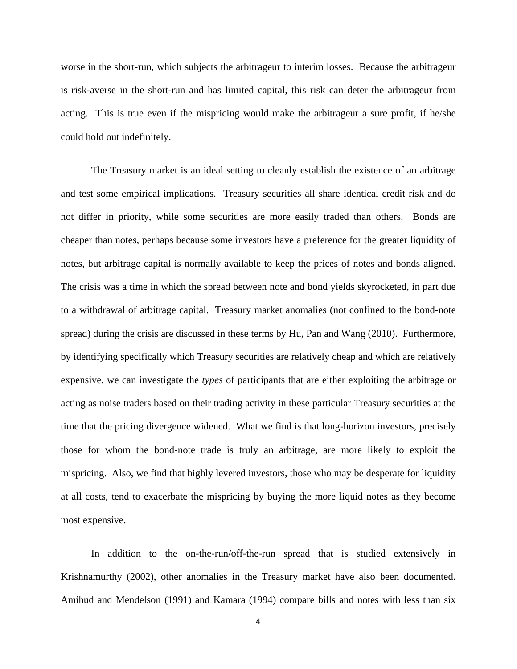worse in the short-run, which subjects the arbitrageur to interim losses. Because the arbitrageur is risk-averse in the short-run and has limited capital, this risk can deter the arbitrageur from acting. This is true even if the mispricing would make the arbitrageur a sure profit, if he/she could hold out indefinitely.

The Treasury market is an ideal setting to cleanly establish the existence of an arbitrage and test some empirical implications. Treasury securities all share identical credit risk and do not differ in priority, while some securities are more easily traded than others. Bonds are cheaper than notes, perhaps because some investors have a preference for the greater liquidity of notes, but arbitrage capital is normally available to keep the prices of notes and bonds aligned. The crisis was a time in which the spread between note and bond yields skyrocketed, in part due to a withdrawal of arbitrage capital. Treasury market anomalies (not confined to the bond-note spread) during the crisis are discussed in these terms by Hu, Pan and Wang (2010). Furthermore, by identifying specifically which Treasury securities are relatively cheap and which are relatively expensive, we can investigate the *types* of participants that are either exploiting the arbitrage or acting as noise traders based on their trading activity in these particular Treasury securities at the time that the pricing divergence widened. What we find is that long-horizon investors, precisely those for whom the bond-note trade is truly an arbitrage, are more likely to exploit the mispricing. Also, we find that highly levered investors, those who may be desperate for liquidity at all costs, tend to exacerbate the mispricing by buying the more liquid notes as they become most expensive.

In addition to the on-the-run/off-the-run spread that is studied extensively in Krishnamurthy (2002), other anomalies in the Treasury market have also been documented. Amihud and Mendelson (1991) and Kamara (1994) compare bills and notes with less than six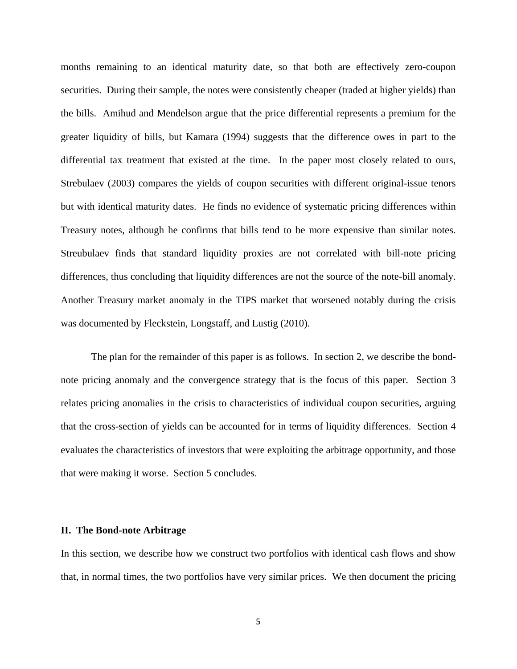months remaining to an identical maturity date, so that both are effectively zero-coupon securities. During their sample, the notes were consistently cheaper (traded at higher yields) than the bills. Amihud and Mendelson argue that the price differential represents a premium for the greater liquidity of bills, but Kamara (1994) suggests that the difference owes in part to the differential tax treatment that existed at the time. In the paper most closely related to ours, Strebulaev (2003) compares the yields of coupon securities with different original-issue tenors but with identical maturity dates. He finds no evidence of systematic pricing differences within Treasury notes, although he confirms that bills tend to be more expensive than similar notes. Streubulaev finds that standard liquidity proxies are not correlated with bill-note pricing differences, thus concluding that liquidity differences are not the source of the note-bill anomaly. Another Treasury market anomaly in the TIPS market that worsened notably during the crisis was documented by Fleckstein, Longstaff, and Lustig (2010).

The plan for the remainder of this paper is as follows. In section 2, we describe the bondnote pricing anomaly and the convergence strategy that is the focus of this paper. Section 3 relates pricing anomalies in the crisis to characteristics of individual coupon securities, arguing that the cross-section of yields can be accounted for in terms of liquidity differences. Section 4 evaluates the characteristics of investors that were exploiting the arbitrage opportunity, and those that were making it worse. Section 5 concludes.

## **II. The Bond-note Arbitrage**

In this section, we describe how we construct two portfolios with identical cash flows and show that, in normal times, the two portfolios have very similar prices. We then document the pricing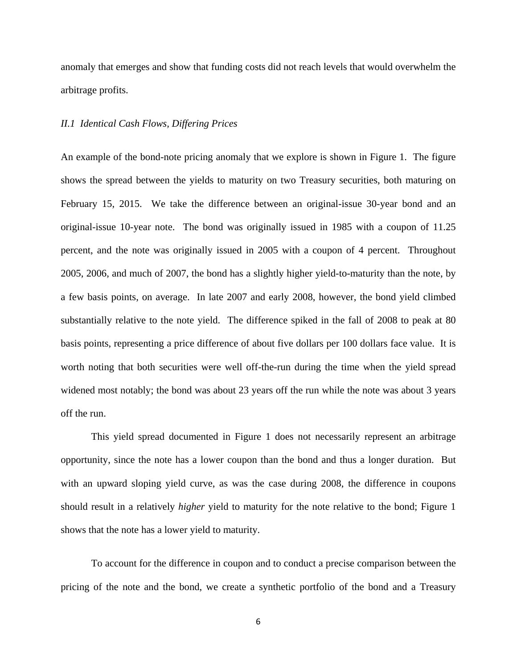anomaly that emerges and show that funding costs did not reach levels that would overwhelm the arbitrage profits.

## *II.1 Identical Cash Flows, Differing Prices*

An example of the bond-note pricing anomaly that we explore is shown in Figure 1. The figure shows the spread between the yields to maturity on two Treasury securities, both maturing on February 15, 2015. We take the difference between an original-issue 30-year bond and an original-issue 10-year note. The bond was originally issued in 1985 with a coupon of 11.25 percent, and the note was originally issued in 2005 with a coupon of 4 percent. Throughout 2005, 2006, and much of 2007, the bond has a slightly higher yield-to-maturity than the note, by a few basis points, on average. In late 2007 and early 2008, however, the bond yield climbed substantially relative to the note yield. The difference spiked in the fall of 2008 to peak at 80 basis points, representing a price difference of about five dollars per 100 dollars face value. It is worth noting that both securities were well off-the-run during the time when the yield spread widened most notably; the bond was about 23 years off the run while the note was about 3 years off the run.

 This yield spread documented in Figure 1 does not necessarily represent an arbitrage opportunity, since the note has a lower coupon than the bond and thus a longer duration. But with an upward sloping yield curve, as was the case during 2008, the difference in coupons should result in a relatively *higher* yield to maturity for the note relative to the bond; Figure 1 shows that the note has a lower yield to maturity.

To account for the difference in coupon and to conduct a precise comparison between the pricing of the note and the bond, we create a synthetic portfolio of the bond and a Treasury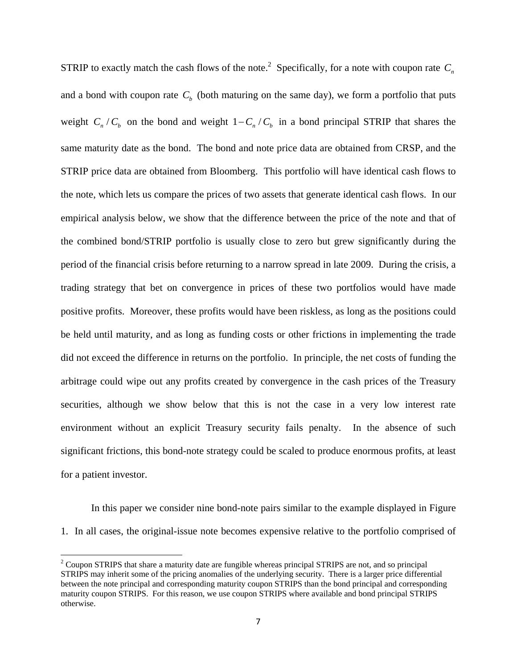STRIP to exactly match the cash flows of the note.<sup>2</sup> Specifically, for a note with coupon rate  $C_n$ and a bond with coupon rate  $C<sub>b</sub>$  (both maturing on the same day), we form a portfolio that puts weight  $C_n / C_b$  on the bond and weight  $1 - C_n / C_b$  in a bond principal STRIP that shares the same maturity date as the bond. The bond and note price data are obtained from CRSP, and the STRIP price data are obtained from Bloomberg. This portfolio will have identical cash flows to the note, which lets us compare the prices of two assets that generate identical cash flows. In our empirical analysis below, we show that the difference between the price of the note and that of the combined bond/STRIP portfolio is usually close to zero but grew significantly during the period of the financial crisis before returning to a narrow spread in late 2009. During the crisis, a trading strategy that bet on convergence in prices of these two portfolios would have made positive profits. Moreover, these profits would have been riskless, as long as the positions could be held until maturity, and as long as funding costs or other frictions in implementing the trade did not exceed the difference in returns on the portfolio. In principle, the net costs of funding the arbitrage could wipe out any profits created by convergence in the cash prices of the Treasury securities, although we show below that this is not the case in a very low interest rate environment without an explicit Treasury security fails penalty. In the absence of such significant frictions, this bond-note strategy could be scaled to produce enormous profits, at least for a patient investor.

In this paper we consider nine bond-note pairs similar to the example displayed in Figure 1. In all cases, the original-issue note becomes expensive relative to the portfolio comprised of

 $2^2$  Coupon STRIPS that share a maturity date are fungible whereas principal STRIPS are not, and so principal STRIPS may inherit some of the pricing anomalies of the underlying security. There is a larger price differential between the note principal and corresponding maturity coupon STRIPS than the bond principal and corresponding maturity coupon STRIPS. For this reason, we use coupon STRIPS where available and bond principal STRIPS otherwise.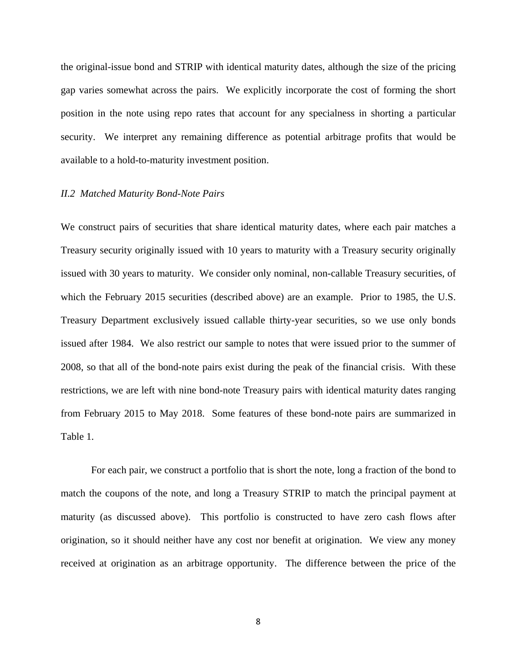the original-issue bond and STRIP with identical maturity dates, although the size of the pricing gap varies somewhat across the pairs. We explicitly incorporate the cost of forming the short position in the note using repo rates that account for any specialness in shorting a particular security. We interpret any remaining difference as potential arbitrage profits that would be available to a hold-to-maturity investment position.

#### *II.2 Matched Maturity Bond-Note Pairs*

We construct pairs of securities that share identical maturity dates, where each pair matches a Treasury security originally issued with 10 years to maturity with a Treasury security originally issued with 30 years to maturity. We consider only nominal, non-callable Treasury securities, of which the February 2015 securities (described above) are an example. Prior to 1985, the U.S. Treasury Department exclusively issued callable thirty-year securities, so we use only bonds issued after 1984. We also restrict our sample to notes that were issued prior to the summer of 2008, so that all of the bond-note pairs exist during the peak of the financial crisis. With these restrictions, we are left with nine bond-note Treasury pairs with identical maturity dates ranging from February 2015 to May 2018. Some features of these bond-note pairs are summarized in Table 1.

For each pair, we construct a portfolio that is short the note, long a fraction of the bond to match the coupons of the note, and long a Treasury STRIP to match the principal payment at maturity (as discussed above). This portfolio is constructed to have zero cash flows after origination, so it should neither have any cost nor benefit at origination. We view any money received at origination as an arbitrage opportunity. The difference between the price of the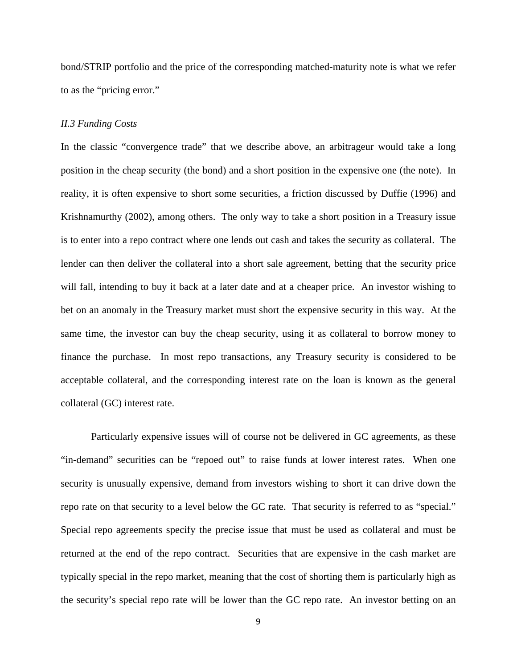bond/STRIP portfolio and the price of the corresponding matched-maturity note is what we refer to as the "pricing error."

#### *II.3 Funding Costs*

In the classic "convergence trade" that we describe above, an arbitrageur would take a long position in the cheap security (the bond) and a short position in the expensive one (the note). In reality, it is often expensive to short some securities, a friction discussed by Duffie (1996) and Krishnamurthy (2002), among others. The only way to take a short position in a Treasury issue is to enter into a repo contract where one lends out cash and takes the security as collateral. The lender can then deliver the collateral into a short sale agreement, betting that the security price will fall, intending to buy it back at a later date and at a cheaper price. An investor wishing to bet on an anomaly in the Treasury market must short the expensive security in this way. At the same time, the investor can buy the cheap security, using it as collateral to borrow money to finance the purchase. In most repo transactions, any Treasury security is considered to be acceptable collateral, and the corresponding interest rate on the loan is known as the general collateral (GC) interest rate.

Particularly expensive issues will of course not be delivered in GC agreements, as these "in-demand" securities can be "repoed out" to raise funds at lower interest rates. When one security is unusually expensive, demand from investors wishing to short it can drive down the repo rate on that security to a level below the GC rate. That security is referred to as "special." Special repo agreements specify the precise issue that must be used as collateral and must be returned at the end of the repo contract. Securities that are expensive in the cash market are typically special in the repo market, meaning that the cost of shorting them is particularly high as the security's special repo rate will be lower than the GC repo rate. An investor betting on an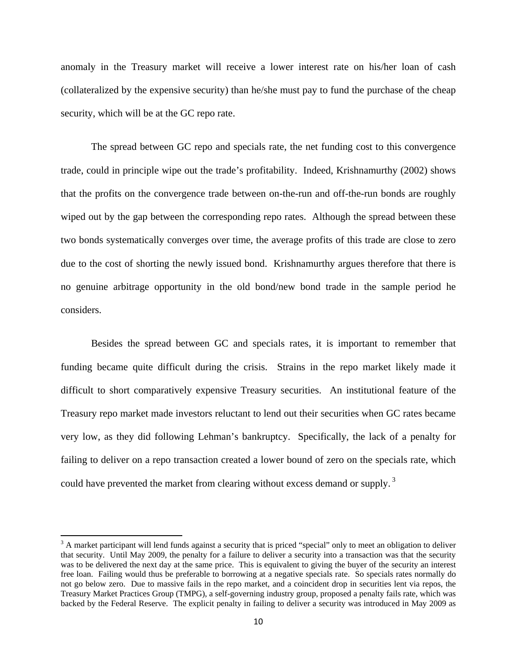anomaly in the Treasury market will receive a lower interest rate on his/her loan of cash (collateralized by the expensive security) than he/she must pay to fund the purchase of the cheap security, which will be at the GC repo rate.

The spread between GC repo and specials rate, the net funding cost to this convergence trade, could in principle wipe out the trade's profitability. Indeed, Krishnamurthy (2002) shows that the profits on the convergence trade between on-the-run and off-the-run bonds are roughly wiped out by the gap between the corresponding repo rates. Although the spread between these two bonds systematically converges over time, the average profits of this trade are close to zero due to the cost of shorting the newly issued bond. Krishnamurthy argues therefore that there is no genuine arbitrage opportunity in the old bond/new bond trade in the sample period he considers.

Besides the spread between GC and specials rates, it is important to remember that funding became quite difficult during the crisis. Strains in the repo market likely made it difficult to short comparatively expensive Treasury securities. An institutional feature of the Treasury repo market made investors reluctant to lend out their securities when GC rates became very low, as they did following Lehman's bankruptcy. Specifically, the lack of a penalty for failing to deliver on a repo transaction created a lower bound of zero on the specials rate, which could have prevented the market from clearing without excess demand or supply.<sup>3</sup>

 $3$  A market participant will lend funds against a security that is priced "special" only to meet an obligation to deliver that security. Until May 2009, the penalty for a failure to deliver a security into a transaction was that the security was to be delivered the next day at the same price. This is equivalent to giving the buyer of the security an interest free loan. Failing would thus be preferable to borrowing at a negative specials rate. So specials rates normally do not go below zero. Due to massive fails in the repo market, and a coincident drop in securities lent via repos, the Treasury Market Practices Group (TMPG), a self-governing industry group, proposed a penalty fails rate, which was backed by the Federal Reserve. The explicit penalty in failing to deliver a security was introduced in May 2009 as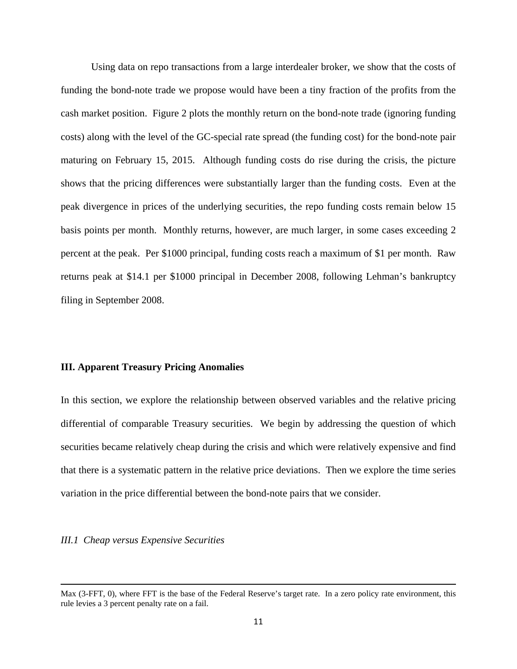Using data on repo transactions from a large interdealer broker, we show that the costs of funding the bond-note trade we propose would have been a tiny fraction of the profits from the cash market position. Figure 2 plots the monthly return on the bond-note trade (ignoring funding costs) along with the level of the GC-special rate spread (the funding cost) for the bond-note pair maturing on February 15, 2015. Although funding costs do rise during the crisis, the picture shows that the pricing differences were substantially larger than the funding costs. Even at the peak divergence in prices of the underlying securities, the repo funding costs remain below 15 basis points per month. Monthly returns, however, are much larger, in some cases exceeding 2 percent at the peak. Per \$1000 principal, funding costs reach a maximum of \$1 per month. Raw returns peak at \$14.1 per \$1000 principal in December 2008, following Lehman's bankruptcy filing in September 2008.

## **III. Apparent Treasury Pricing Anomalies**

In this section, we explore the relationship between observed variables and the relative pricing differential of comparable Treasury securities. We begin by addressing the question of which securities became relatively cheap during the crisis and which were relatively expensive and find that there is a systematic pattern in the relative price deviations. Then we explore the time series variation in the price differential between the bond-note pairs that we consider.

### *III.1 Cheap versus Expensive Securities*

<sup>&</sup>lt;u> 1989 - Johann Stoff, amerikansk politiker (d. 1989)</u> Max (3-FFT, 0), where FFT is the base of the Federal Reserve's target rate. In a zero policy rate environment, this rule levies a 3 percent penalty rate on a fail.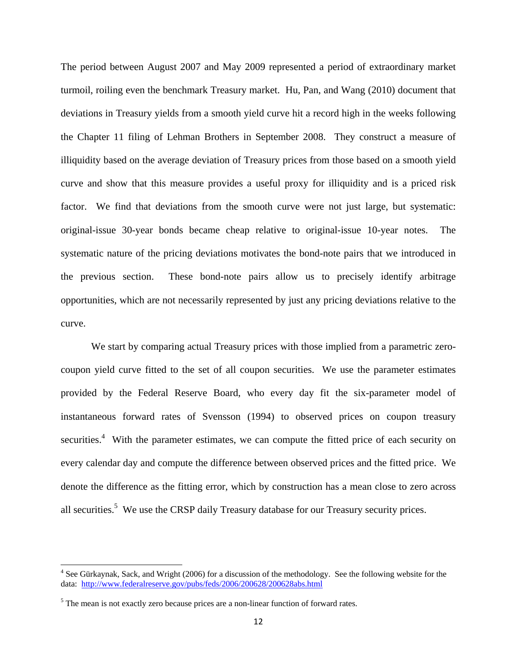The period between August 2007 and May 2009 represented a period of extraordinary market turmoil, roiling even the benchmark Treasury market. Hu, Pan, and Wang (2010) document that deviations in Treasury yields from a smooth yield curve hit a record high in the weeks following the Chapter 11 filing of Lehman Brothers in September 2008. They construct a measure of illiquidity based on the average deviation of Treasury prices from those based on a smooth yield curve and show that this measure provides a useful proxy for illiquidity and is a priced risk factor. We find that deviations from the smooth curve were not just large, but systematic: original-issue 30-year bonds became cheap relative to original-issue 10-year notes. The systematic nature of the pricing deviations motivates the bond-note pairs that we introduced in the previous section. These bond-note pairs allow us to precisely identify arbitrage opportunities, which are not necessarily represented by just any pricing deviations relative to the curve.

We start by comparing actual Treasury prices with those implied from a parametric zerocoupon yield curve fitted to the set of all coupon securities. We use the parameter estimates provided by the Federal Reserve Board, who every day fit the six-parameter model of instantaneous forward rates of Svensson (1994) to observed prices on coupon treasury securities.<sup>4</sup> With the parameter estimates, we can compute the fitted price of each security on every calendar day and compute the difference between observed prices and the fitted price. We denote the difference as the fitting error, which by construction has a mean close to zero across all securities.<sup>5</sup> We use the CRSP daily Treasury database for our Treasury security prices.

<sup>&</sup>lt;sup>4</sup> See Gürkaynak, Sack, and Wright (2006) for a discussion of the methodology. See the following website for the data: http://www.federalreserve.gov/pubs/feds/2006/200628/200628abs.html

 $<sup>5</sup>$  The mean is not exactly zero because prices are a non-linear function of forward rates.</sup>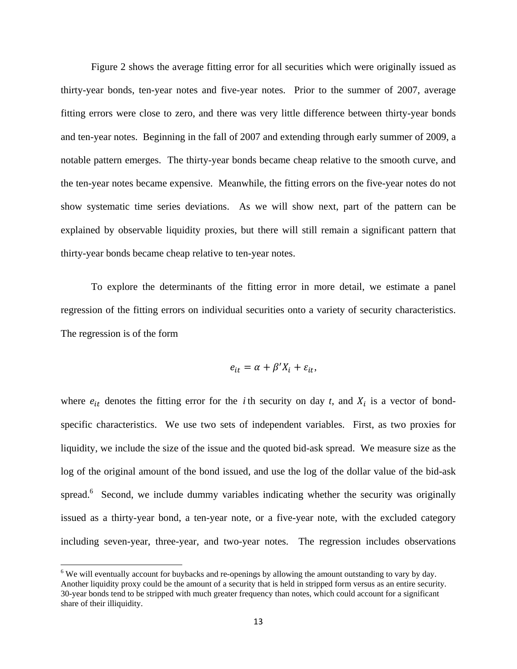Figure 2 shows the average fitting error for all securities which were originally issued as thirty-year bonds, ten-year notes and five-year notes. Prior to the summer of 2007, average fitting errors were close to zero, and there was very little difference between thirty-year bonds and ten-year notes. Beginning in the fall of 2007 and extending through early summer of 2009, a notable pattern emerges. The thirty-year bonds became cheap relative to the smooth curve, and the ten-year notes became expensive. Meanwhile, the fitting errors on the five-year notes do not show systematic time series deviations. As we will show next, part of the pattern can be explained by observable liquidity proxies, but there will still remain a significant pattern that thirty-year bonds became cheap relative to ten-year notes.

To explore the determinants of the fitting error in more detail, we estimate a panel regression of the fitting errors on individual securities onto a variety of security characteristics. The regression is of the form

$$
e_{it} = \alpha + \beta' X_i + \varepsilon_{it},
$$

where  $e_{it}$  denotes the fitting error for the *i* th security on day *t*, and  $X_i$  is a vector of bondspecific characteristics. We use two sets of independent variables. First, as two proxies for liquidity, we include the size of the issue and the quoted bid-ask spread. We measure size as the log of the original amount of the bond issued, and use the log of the dollar value of the bid-ask spread.<sup>6</sup> Second, we include dummy variables indicating whether the security was originally issued as a thirty-year bond, a ten-year note, or a five-year note, with the excluded category including seven-year, three-year, and two-year notes. The regression includes observations

<sup>&</sup>lt;sup>6</sup> We will eventually account for buybacks and re-openings by allowing the amount outstanding to vary by day. Another liquidity proxy could be the amount of a security that is held in stripped form versus as an entire security. 30-year bonds tend to be stripped with much greater frequency than notes, which could account for a significant share of their illiquidity.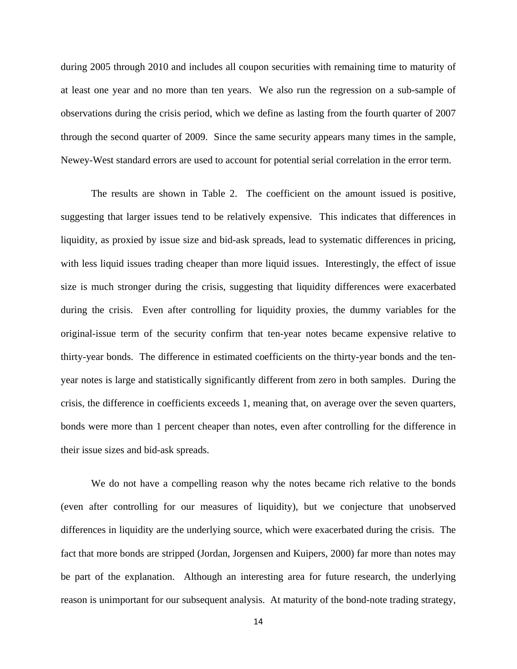during 2005 through 2010 and includes all coupon securities with remaining time to maturity of at least one year and no more than ten years. We also run the regression on a sub-sample of observations during the crisis period, which we define as lasting from the fourth quarter of 2007 through the second quarter of 2009. Since the same security appears many times in the sample, Newey-West standard errors are used to account for potential serial correlation in the error term.

 The results are shown in Table 2. The coefficient on the amount issued is positive, suggesting that larger issues tend to be relatively expensive. This indicates that differences in liquidity, as proxied by issue size and bid-ask spreads, lead to systematic differences in pricing, with less liquid issues trading cheaper than more liquid issues. Interestingly, the effect of issue size is much stronger during the crisis, suggesting that liquidity differences were exacerbated during the crisis. Even after controlling for liquidity proxies, the dummy variables for the original-issue term of the security confirm that ten-year notes became expensive relative to thirty-year bonds. The difference in estimated coefficients on the thirty-year bonds and the tenyear notes is large and statistically significantly different from zero in both samples. During the crisis, the difference in coefficients exceeds 1, meaning that, on average over the seven quarters, bonds were more than 1 percent cheaper than notes, even after controlling for the difference in their issue sizes and bid-ask spreads.

 We do not have a compelling reason why the notes became rich relative to the bonds (even after controlling for our measures of liquidity), but we conjecture that unobserved differences in liquidity are the underlying source, which were exacerbated during the crisis. The fact that more bonds are stripped (Jordan, Jorgensen and Kuipers, 2000) far more than notes may be part of the explanation. Although an interesting area for future research, the underlying reason is unimportant for our subsequent analysis. At maturity of the bond-note trading strategy,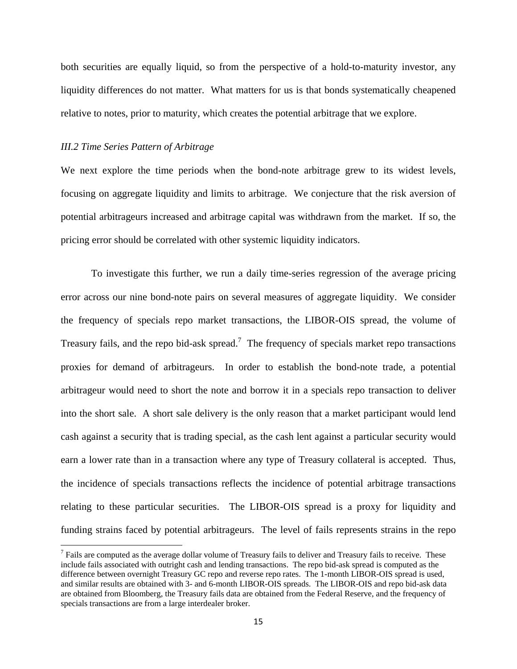both securities are equally liquid, so from the perspective of a hold-to-maturity investor, any liquidity differences do not matter. What matters for us is that bonds systematically cheapened relative to notes, prior to maturity, which creates the potential arbitrage that we explore.

#### *III.2 Time Series Pattern of Arbitrage*

We next explore the time periods when the bond-note arbitrage grew to its widest levels, focusing on aggregate liquidity and limits to arbitrage. We conjecture that the risk aversion of potential arbitrageurs increased and arbitrage capital was withdrawn from the market. If so, the pricing error should be correlated with other systemic liquidity indicators.

To investigate this further, we run a daily time-series regression of the average pricing error across our nine bond-note pairs on several measures of aggregate liquidity. We consider the frequency of specials repo market transactions, the LIBOR-OIS spread, the volume of Treasury fails, and the repo bid-ask spread.<sup>7</sup> The frequency of specials market repo transactions proxies for demand of arbitrageurs. In order to establish the bond-note trade, a potential arbitrageur would need to short the note and borrow it in a specials repo transaction to deliver into the short sale. A short sale delivery is the only reason that a market participant would lend cash against a security that is trading special, as the cash lent against a particular security would earn a lower rate than in a transaction where any type of Treasury collateral is accepted. Thus, the incidence of specials transactions reflects the incidence of potential arbitrage transactions relating to these particular securities. The LIBOR-OIS spread is a proxy for liquidity and funding strains faced by potential arbitrageurs. The level of fails represents strains in the repo

 $<sup>7</sup>$  Fails are computed as the average dollar volume of Treasury fails to deliver and Treasury fails to receive. These</sup> include fails associated with outright cash and lending transactions. The repo bid-ask spread is computed as the difference between overnight Treasury GC repo and reverse repo rates. The 1-month LIBOR-OIS spread is used, and similar results are obtained with 3- and 6-month LIBOR-OIS spreads. The LIBOR-OIS and repo bid-ask data are obtained from Bloomberg, the Treasury fails data are obtained from the Federal Reserve, and the frequency of specials transactions are from a large interdealer broker.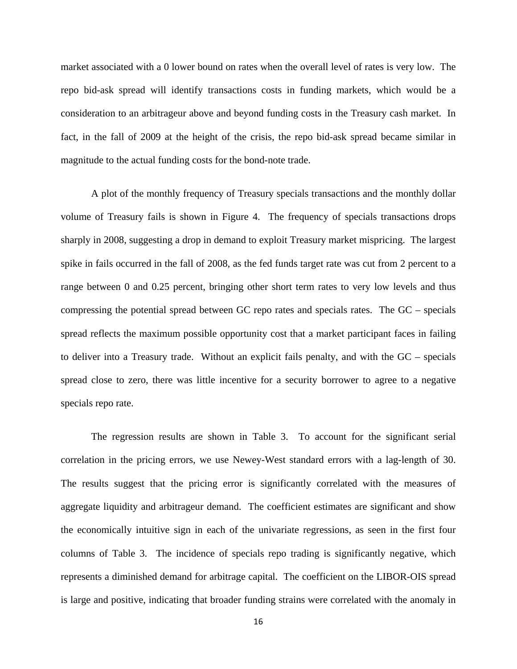market associated with a 0 lower bound on rates when the overall level of rates is very low. The repo bid-ask spread will identify transactions costs in funding markets, which would be a consideration to an arbitrageur above and beyond funding costs in the Treasury cash market. In fact, in the fall of 2009 at the height of the crisis, the repo bid-ask spread became similar in magnitude to the actual funding costs for the bond-note trade.

A plot of the monthly frequency of Treasury specials transactions and the monthly dollar volume of Treasury fails is shown in Figure 4. The frequency of specials transactions drops sharply in 2008, suggesting a drop in demand to exploit Treasury market mispricing. The largest spike in fails occurred in the fall of 2008, as the fed funds target rate was cut from 2 percent to a range between 0 and 0.25 percent, bringing other short term rates to very low levels and thus compressing the potential spread between GC repo rates and specials rates. The GC – specials spread reflects the maximum possible opportunity cost that a market participant faces in failing to deliver into a Treasury trade. Without an explicit fails penalty, and with the GC – specials spread close to zero, there was little incentive for a security borrower to agree to a negative specials repo rate.

The regression results are shown in Table 3. To account for the significant serial correlation in the pricing errors, we use Newey-West standard errors with a lag-length of 30. The results suggest that the pricing error is significantly correlated with the measures of aggregate liquidity and arbitrageur demand. The coefficient estimates are significant and show the economically intuitive sign in each of the univariate regressions, as seen in the first four columns of Table 3. The incidence of specials repo trading is significantly negative, which represents a diminished demand for arbitrage capital. The coefficient on the LIBOR-OIS spread is large and positive, indicating that broader funding strains were correlated with the anomaly in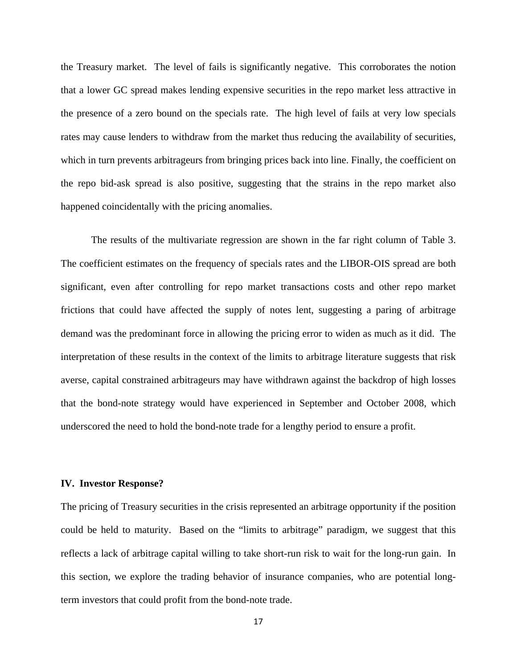the Treasury market. The level of fails is significantly negative. This corroborates the notion that a lower GC spread makes lending expensive securities in the repo market less attractive in the presence of a zero bound on the specials rate. The high level of fails at very low specials rates may cause lenders to withdraw from the market thus reducing the availability of securities, which in turn prevents arbitrageurs from bringing prices back into line. Finally, the coefficient on the repo bid-ask spread is also positive, suggesting that the strains in the repo market also happened coincidentally with the pricing anomalies.

The results of the multivariate regression are shown in the far right column of Table 3. The coefficient estimates on the frequency of specials rates and the LIBOR-OIS spread are both significant, even after controlling for repo market transactions costs and other repo market frictions that could have affected the supply of notes lent, suggesting a paring of arbitrage demand was the predominant force in allowing the pricing error to widen as much as it did. The interpretation of these results in the context of the limits to arbitrage literature suggests that risk averse, capital constrained arbitrageurs may have withdrawn against the backdrop of high losses that the bond-note strategy would have experienced in September and October 2008, which underscored the need to hold the bond-note trade for a lengthy period to ensure a profit.

## **IV. Investor Response?**

The pricing of Treasury securities in the crisis represented an arbitrage opportunity if the position could be held to maturity. Based on the "limits to arbitrage" paradigm, we suggest that this reflects a lack of arbitrage capital willing to take short-run risk to wait for the long-run gain. In this section, we explore the trading behavior of insurance companies, who are potential longterm investors that could profit from the bond-note trade.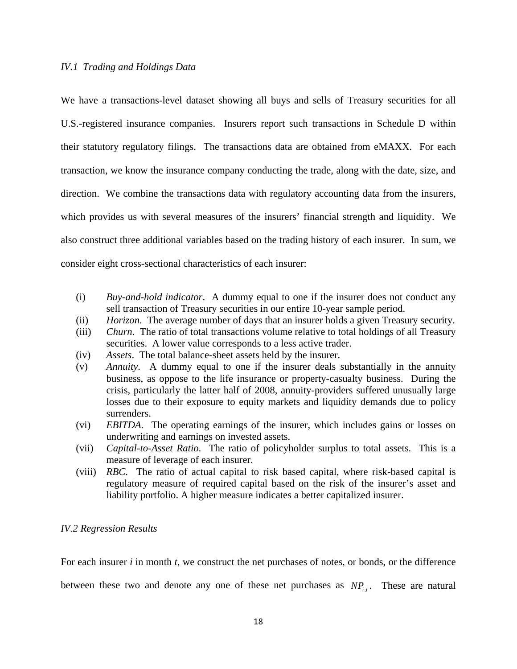### *IV.1 Trading and Holdings Data*

We have a transactions-level dataset showing all buys and sells of Treasury securities for all U.S.-registered insurance companies. Insurers report such transactions in Schedule D within their statutory regulatory filings. The transactions data are obtained from eMAXX. For each transaction, we know the insurance company conducting the trade, along with the date, size, and direction. We combine the transactions data with regulatory accounting data from the insurers, which provides us with several measures of the insurers' financial strength and liquidity. We also construct three additional variables based on the trading history of each insurer. In sum, we consider eight cross-sectional characteristics of each insurer:

- (i) *Buy-and-hold indicator*. A dummy equal to one if the insurer does not conduct any sell transaction of Treasury securities in our entire 10-year sample period.
- (ii) *Horizon*. The average number of days that an insurer holds a given Treasury security.
- (iii) *Churn*. The ratio of total transactions volume relative to total holdings of all Treasury securities. A lower value corresponds to a less active trader.
- (iv) *Assets*. The total balance-sheet assets held by the insurer.
- (v) *Annuity*. A dummy equal to one if the insurer deals substantially in the annuity business, as oppose to the life insurance or property-casualty business. During the crisis, particularly the latter half of 2008, annuity-providers suffered unusually large losses due to their exposure to equity markets and liquidity demands due to policy surrenders.
- (vi) *EBITDA*. The operating earnings of the insurer, which includes gains or losses on underwriting and earnings on invested assets.
- (vii) *Capital-to-Asset Ratio*. The ratio of policyholder surplus to total assets. This is a measure of leverage of each insurer.
- (viii) *RBC*. The ratio of actual capital to risk based capital, where risk-based capital is regulatory measure of required capital based on the risk of the insurer's asset and liability portfolio. A higher measure indicates a better capitalized insurer.

## *IV.2 Regression Results*

For each insurer *i* in month *t*, we construct the net purchases of notes, or bonds, or the difference

between these two and denote any one of these net purchases as  $NP_{i,t}$ . These are natural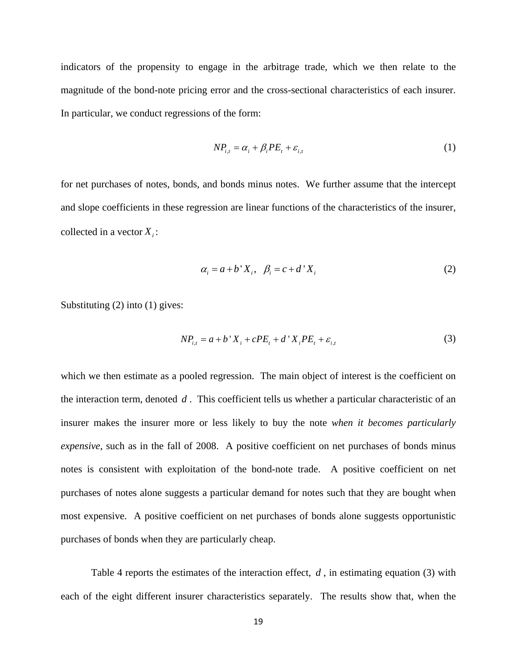indicators of the propensity to engage in the arbitrage trade, which we then relate to the magnitude of the bond-note pricing error and the cross-sectional characteristics of each insurer. In particular, we conduct regressions of the form:

$$
NP_{i,t} = \alpha_i + \beta_i PE_t + \varepsilon_{i,t} \tag{1}
$$

for net purchases of notes, bonds, and bonds minus notes. We further assume that the intercept and slope coefficients in these regression are linear functions of the characteristics of the insurer, collected in a vector  $X_i$ :

$$
\alpha_i = a + b' X_i, \quad \beta_i = c + d' X_i \tag{2}
$$

Substituting (2) into (1) gives:

$$
NP_{i,t} = a + b'X_i + cPE_t + d'X_iPE_t + \varepsilon_{i,t}
$$
\n(3)

which we then estimate as a pooled regression. The main object of interest is the coefficient on the interaction term, denoted *d* . This coefficient tells us whether a particular characteristic of an insurer makes the insurer more or less likely to buy the note *when it becomes particularly expensive*, such as in the fall of 2008. A positive coefficient on net purchases of bonds minus notes is consistent with exploitation of the bond-note trade. A positive coefficient on net purchases of notes alone suggests a particular demand for notes such that they are bought when most expensive. A positive coefficient on net purchases of bonds alone suggests opportunistic purchases of bonds when they are particularly cheap.

 Table 4 reports the estimates of the interaction effect, *d* , in estimating equation (3) with each of the eight different insurer characteristics separately. The results show that, when the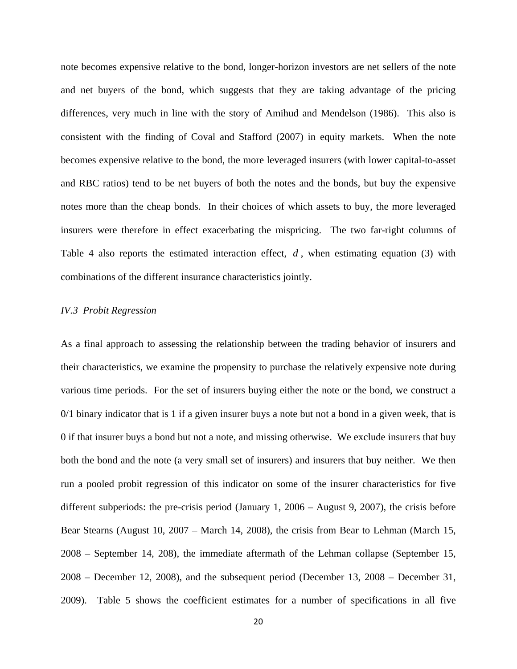note becomes expensive relative to the bond, longer-horizon investors are net sellers of the note and net buyers of the bond, which suggests that they are taking advantage of the pricing differences, very much in line with the story of Amihud and Mendelson (1986). This also is consistent with the finding of Coval and Stafford (2007) in equity markets. When the note becomes expensive relative to the bond, the more leveraged insurers (with lower capital-to-asset and RBC ratios) tend to be net buyers of both the notes and the bonds, but buy the expensive notes more than the cheap bonds. In their choices of which assets to buy, the more leveraged insurers were therefore in effect exacerbating the mispricing. The two far-right columns of Table 4 also reports the estimated interaction effect, *d* , when estimating equation (3) with combinations of the different insurance characteristics jointly.

#### *IV.3 Probit Regression*

As a final approach to assessing the relationship between the trading behavior of insurers and their characteristics, we examine the propensity to purchase the relatively expensive note during various time periods. For the set of insurers buying either the note or the bond, we construct a 0/1 binary indicator that is 1 if a given insurer buys a note but not a bond in a given week, that is 0 if that insurer buys a bond but not a note, and missing otherwise. We exclude insurers that buy both the bond and the note (a very small set of insurers) and insurers that buy neither. We then run a pooled probit regression of this indicator on some of the insurer characteristics for five different subperiods: the pre-crisis period (January 1, 2006 – August 9, 2007), the crisis before Bear Stearns (August 10, 2007 – March 14, 2008), the crisis from Bear to Lehman (March 15, 2008 – September 14, 208), the immediate aftermath of the Lehman collapse (September 15, 2008 – December 12, 2008), and the subsequent period (December 13, 2008 – December 31, 2009). Table 5 shows the coefficient estimates for a number of specifications in all five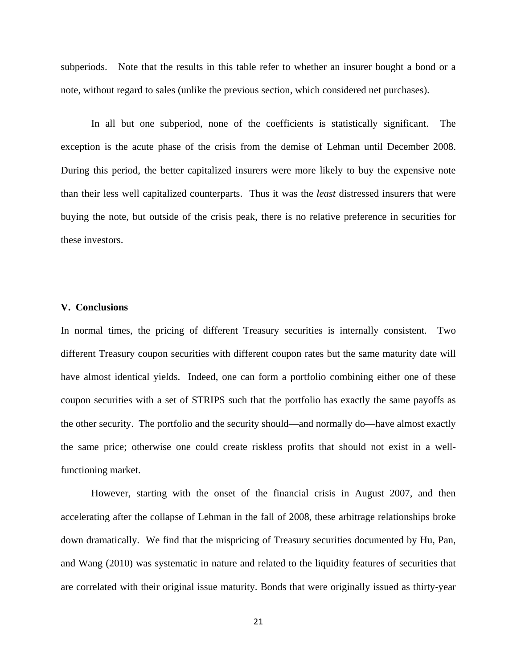subperiods. Note that the results in this table refer to whether an insurer bought a bond or a note, without regard to sales (unlike the previous section, which considered net purchases).

In all but one subperiod, none of the coefficients is statistically significant. The exception is the acute phase of the crisis from the demise of Lehman until December 2008. During this period, the better capitalized insurers were more likely to buy the expensive note than their less well capitalized counterparts. Thus it was the *least* distressed insurers that were buying the note, but outside of the crisis peak, there is no relative preference in securities for these investors.

## **V. Conclusions**

In normal times, the pricing of different Treasury securities is internally consistent. Two different Treasury coupon securities with different coupon rates but the same maturity date will have almost identical yields. Indeed, one can form a portfolio combining either one of these coupon securities with a set of STRIPS such that the portfolio has exactly the same payoffs as the other security. The portfolio and the security should—and normally do—have almost exactly the same price; otherwise one could create riskless profits that should not exist in a wellfunctioning market.

However, starting with the onset of the financial crisis in August 2007, and then accelerating after the collapse of Lehman in the fall of 2008, these arbitrage relationships broke down dramatically. We find that the mispricing of Treasury securities documented by Hu, Pan, and Wang (2010) was systematic in nature and related to the liquidity features of securities that are correlated with their original issue maturity. Bonds that were originally issued as thirty‐year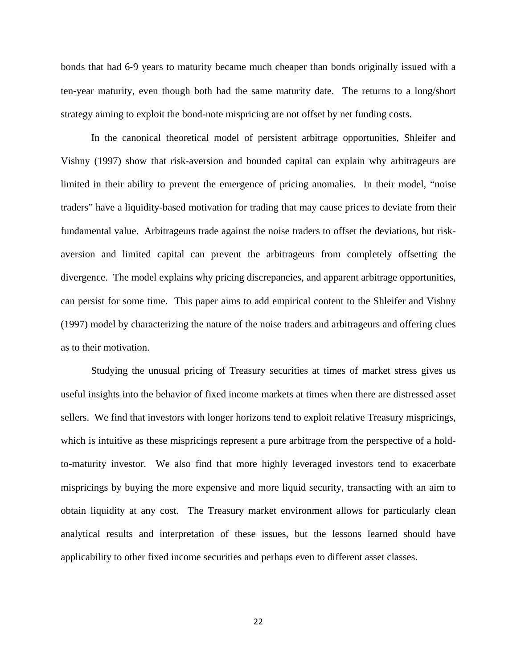bonds that had 6‐9 years to maturity became much cheaper than bonds originally issued with a ten‐year maturity, even though both had the same maturity date. The returns to a long/short strategy aiming to exploit the bond-note mispricing are not offset by net funding costs.

In the canonical theoretical model of persistent arbitrage opportunities, Shleifer and Vishny (1997) show that risk-aversion and bounded capital can explain why arbitrageurs are limited in their ability to prevent the emergence of pricing anomalies. In their model, "noise traders" have a liquidity-based motivation for trading that may cause prices to deviate from their fundamental value. Arbitrageurs trade against the noise traders to offset the deviations, but riskaversion and limited capital can prevent the arbitrageurs from completely offsetting the divergence. The model explains why pricing discrepancies, and apparent arbitrage opportunities, can persist for some time. This paper aims to add empirical content to the Shleifer and Vishny (1997) model by characterizing the nature of the noise traders and arbitrageurs and offering clues as to their motivation.

Studying the unusual pricing of Treasury securities at times of market stress gives us useful insights into the behavior of fixed income markets at times when there are distressed asset sellers. We find that investors with longer horizons tend to exploit relative Treasury mispricings, which is intuitive as these mispricings represent a pure arbitrage from the perspective of a holdto-maturity investor. We also find that more highly leveraged investors tend to exacerbate mispricings by buying the more expensive and more liquid security, transacting with an aim to obtain liquidity at any cost. The Treasury market environment allows for particularly clean analytical results and interpretation of these issues, but the lessons learned should have applicability to other fixed income securities and perhaps even to different asset classes.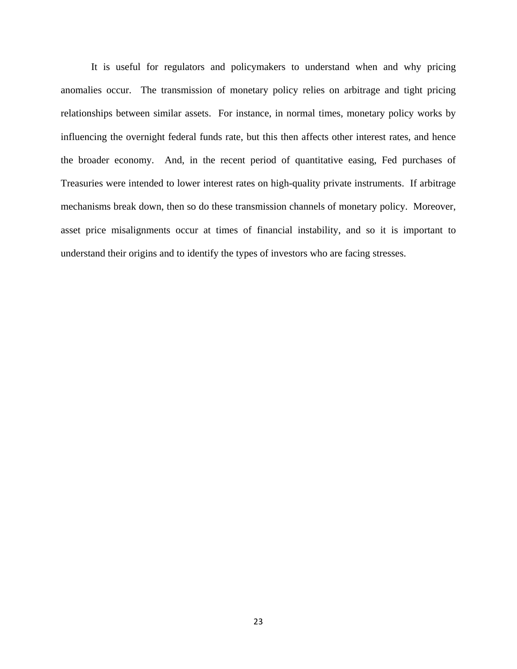It is useful for regulators and policymakers to understand when and why pricing anomalies occur. The transmission of monetary policy relies on arbitrage and tight pricing relationships between similar assets. For instance, in normal times, monetary policy works by influencing the overnight federal funds rate, but this then affects other interest rates, and hence the broader economy. And, in the recent period of quantitative easing, Fed purchases of Treasuries were intended to lower interest rates on high-quality private instruments. If arbitrage mechanisms break down, then so do these transmission channels of monetary policy. Moreover, asset price misalignments occur at times of financial instability, and so it is important to understand their origins and to identify the types of investors who are facing stresses.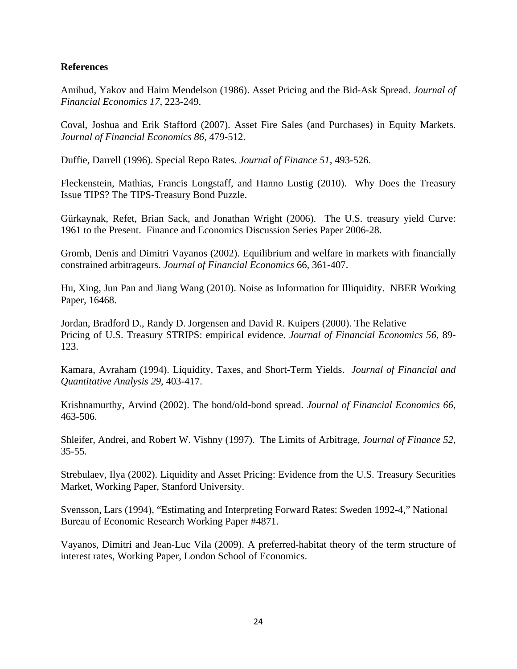# **References**

Amihud, Yakov and Haim Mendelson (1986). Asset Pricing and the Bid-Ask Spread. *Journal of Financial Economics 17*, 223-249.

Coval, Joshua and Erik Stafford (2007). Asset Fire Sales (and Purchases) in Equity Markets. *Journal of Financial Economics 86*, 479-512.

Duffie, Darrell (1996). Special Repo Rates*. Journal of Finance 51*, 493-526.

Fleckenstein, Mathias, Francis Longstaff, and Hanno Lustig (2010). Why Does the Treasury Issue TIPS? The TIPS-Treasury Bond Puzzle.

Gürkaynak, Refet, Brian Sack, and Jonathan Wright (2006). The U.S. treasury yield Curve: 1961 to the Present. Finance and Economics Discussion Series Paper 2006-28.

Gromb, Denis and Dimitri Vayanos (2002). Equilibrium and welfare in markets with financially constrained arbitrageurs. *Journal of Financial Economics* 66, 361-407.

Hu, Xing, Jun Pan and Jiang Wang (2010). Noise as Information for Illiquidity. NBER Working Paper, 16468.

Jordan, Bradford D., Randy D. Jorgensen and David R. Kuipers (2000). The Relative Pricing of U.S. Treasury STRIPS: empirical evidence. *Journal of Financial Economics 56*, 89- 123.

Kamara, Avraham (1994). Liquidity, Taxes, and Short-Term Yields. *Journal of Financial and Quantitative Analysis 29*, 403-417.

Krishnamurthy, Arvind (2002). The bond/old-bond spread. *Journal of Financial Economics 66*, 463-506.

Shleifer, Andrei, and Robert W. Vishny (1997). The Limits of Arbitrage, *Journal of Finance 52*, 35-55.

Strebulaev, Ilya (2002). Liquidity and Asset Pricing: Evidence from the U.S. Treasury Securities Market, Working Paper, Stanford University.

Svensson, Lars (1994), "Estimating and Interpreting Forward Rates: Sweden 1992-4," National Bureau of Economic Research Working Paper #4871.

Vayanos, Dimitri and Jean-Luc Vila (2009). A preferred-habitat theory of the term structure of interest rates, Working Paper, London School of Economics.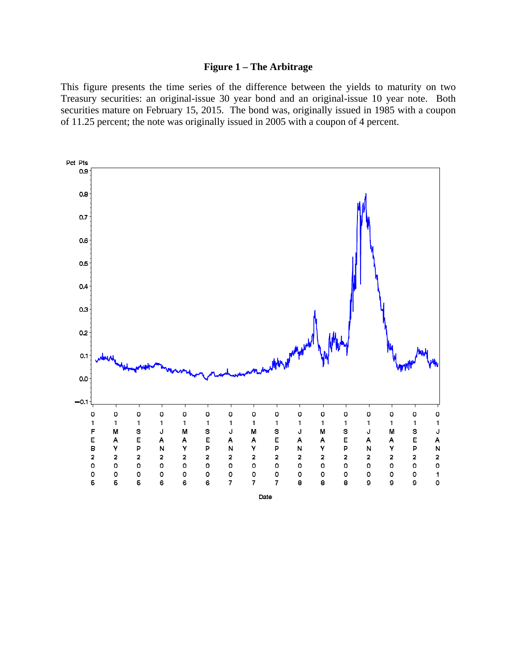## **Figure 1 – The Arbitrage**

This figure presents the time series of the difference between the yields to maturity on two Treasury securities: an original-issue 30 year bond and an original-issue 10 year note. Both securities mature on February 15, 2015. The bond was, originally issued in 1985 with a coupon of 11.25 percent; the note was originally issued in 2005 with a coupon of 4 percent.

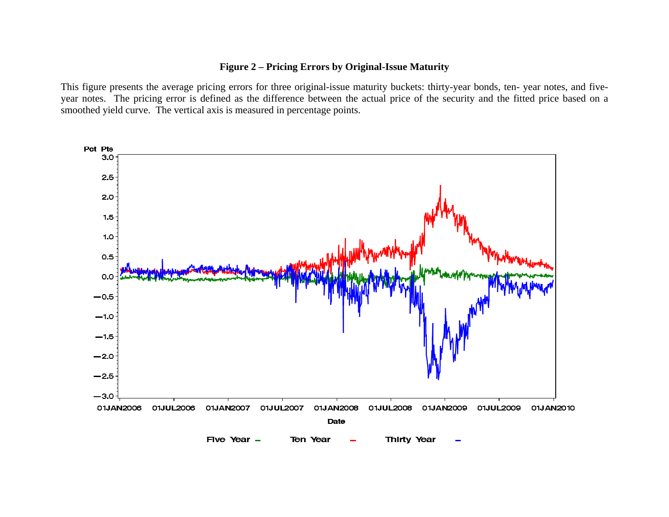# **Figure 2 – Pricing Errors by Original-Issue Maturity**

This figure presents the average pricing errors for three original-issue maturity buckets: thirty-year bonds, ten- year notes, and fiveyear notes. The pricing error is defined as the difference between the actual price of the security and the fitted price based on a smoothed yield curve. The vertical axis is measured in percentage points.

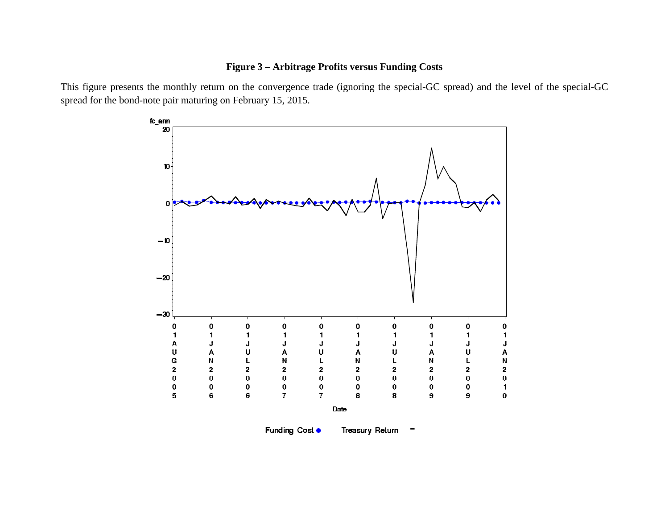# **Figure 3 – Arbitrage Profits versus Funding Costs**

This figure presents the monthly return on the convergence trade (ignoring the special-GC spread) and the level of the special-GC spread for the bond-note pair maturing on February 15, 2015.



Funding Cost ●

**Treasury Return** 

-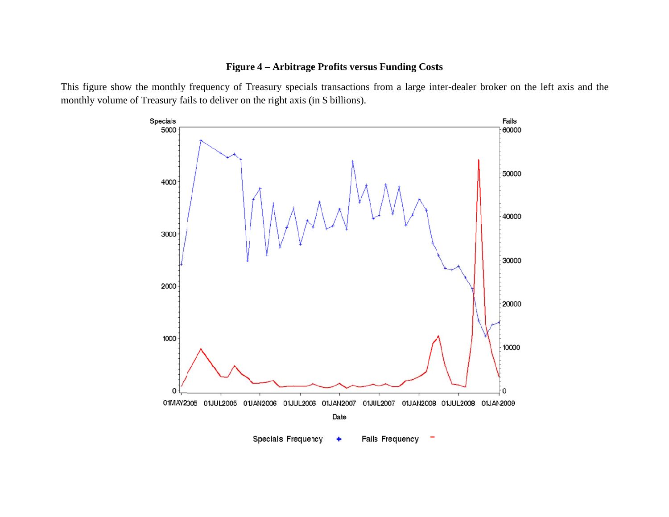## **Figure 4 – Arbitrage Profits versus Funding Costs**

This figure show the monthly frequency of Treasury specials transactions from a large inter-dealer broker on the left axis and the monthly volume of Treasury fails to deliver on the right axis (in \$ billions).

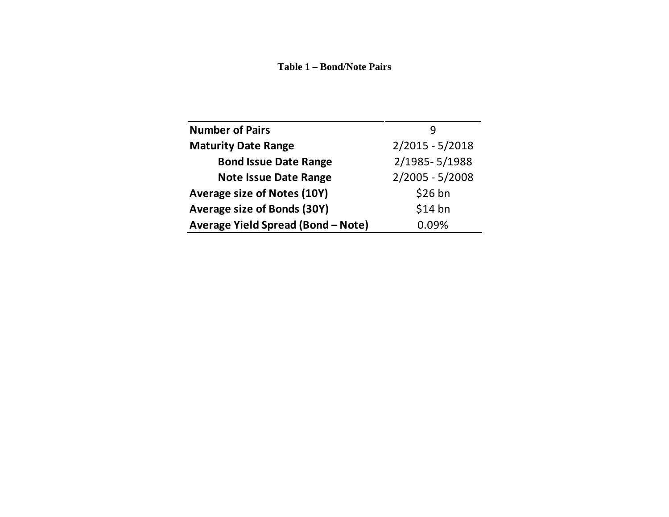#### **Table 1 – Bond/Note Pairs**

| <b>Number of Pairs</b>             |                   |
|------------------------------------|-------------------|
| <b>Maturity Date Range</b>         | $2/2015 - 5/2018$ |
| <b>Bond Issue Date Range</b>       | 2/1985-5/1988     |
| <b>Note Issue Date Range</b>       | $2/2005 - 5/2008$ |
| Average size of Notes (10Y)        | $$26$ bn          |
| Average size of Bonds (30Y)        | $$14$ bn          |
| Average Yield Spread (Bond - Note) | 0.09%             |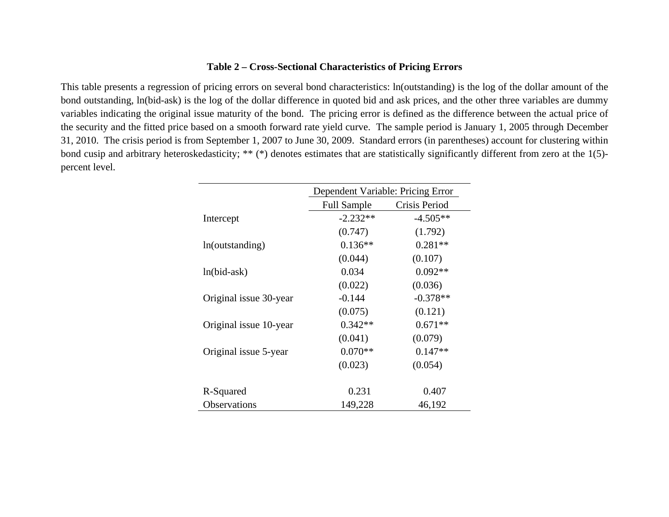# **Table 2 – Cross-Sectional Characteristics of Pricing Errors**

This table presents a regression of pricing errors on several bond characteristics: ln(outstanding) is the log of the dollar amount of the bond outstanding, ln(bid-ask) is the log of the dollar difference in quoted bid and ask prices, and the other three variables are dummy variables indicating the original issue maturity of the bond. The pricing error is defined as the difference between the actual price of the security and the fitted price based on a smooth forward rate yield curve. The sample period is January 1, 2005 through December 31, 2010. The crisis period is from September 1, 2007 to June 30, 2009. Standard errors (in parentheses) account for clustering within bond cusip and arbitrary heteroskedasticity; \*\* (\*) denotes estimates that are statistically significantly different from zero at the 1(5) percent level.

|                        | Dependent Variable: Pricing Error |               |
|------------------------|-----------------------------------|---------------|
|                        | <b>Full Sample</b>                | Crisis Period |
| Intercept              | $-2.232**$                        | $-4.505**$    |
|                        | (0.747)                           | (1.792)       |
| ln(outstanding)        | $0.136**$                         | $0.281**$     |
|                        | (0.044)                           | (0.107)       |
| $ln(bid-ask)$          | 0.034                             | $0.092**$     |
|                        | (0.022)                           | (0.036)       |
| Original issue 30-year | $-0.144$                          | $-0.378**$    |
|                        | (0.075)                           | (0.121)       |
| Original issue 10-year | $0.342**$                         | $0.671**$     |
|                        | (0.041)                           | (0.079)       |
| Original issue 5-year  | $0.070**$                         | $0.147**$     |
|                        | (0.023)                           | (0.054)       |
|                        |                                   |               |
| R-Squared              | 0.231                             | 0.407         |
| <b>Observations</b>    | 149,228                           | 46,192        |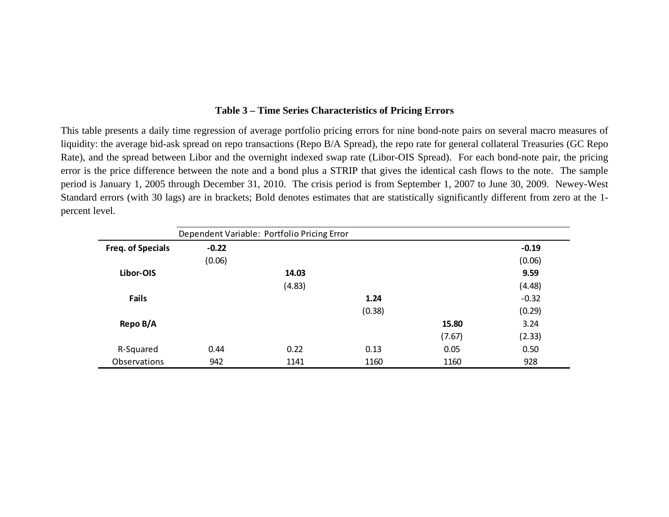## **Table 3 – Time Series Characteristics of Pricing Errors**

This table presents a daily time regression of average portfolio pricing errors for nine bond-note pairs on several macro measures of liquidity: the average bid-ask spread on repo transactions (Repo B/A Spread), the repo rate for general collateral Treasuries (GC Repo Rate), and the spread between Libor and the overnight indexed swap rate (Libor-OIS Spread). For each bond-note pair, the pricing error is the price difference between the note and a bond plus a STRIP that gives the identical cash flows to the note. The sample period is January 1, 2005 through December 31, 2010. The crisis period is from September 1, 2007 to June 30, 2009. Newey-West Standard errors (with 30 lags) are in brackets; Bold denotes estimates that are statistically significantly different from zero at the 1 percent level.

|                   |         | Dependent Variable: Portfolio Pricing Error |        |        |         |
|-------------------|---------|---------------------------------------------|--------|--------|---------|
| Freq. of Specials | $-0.22$ |                                             |        |        | $-0.19$ |
|                   | (0.06)  |                                             |        |        | (0.06)  |
| Libor-OIS         |         | 14.03                                       |        |        | 9.59    |
|                   |         | (4.83)                                      |        |        | (4.48)  |
| <b>Fails</b>      |         |                                             | 1.24   |        | $-0.32$ |
|                   |         |                                             | (0.38) |        | (0.29)  |
| Repo B/A          |         |                                             |        | 15.80  | 3.24    |
|                   |         |                                             |        | (7.67) | (2.33)  |
| R-Squared         | 0.44    | 0.22                                        | 0.13   | 0.05   | 0.50    |
| Observations      | 942     | 1141                                        | 1160   | 1160   | 928     |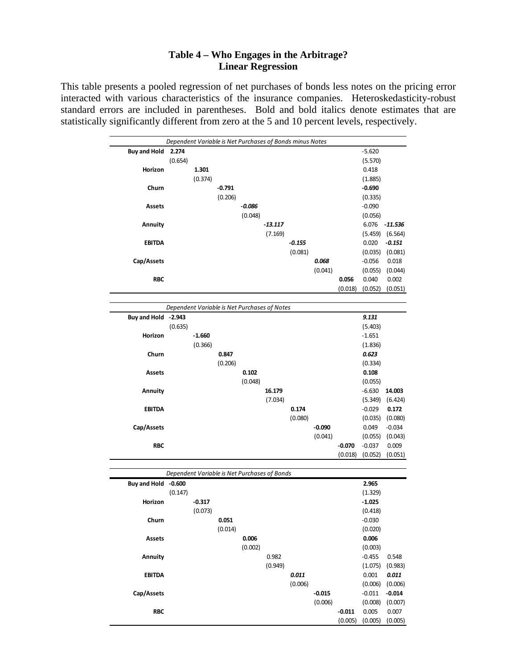# **Table 4 – Who Engages in the Arbitrage? Linear Regression**

This table presents a pooled regression of net purchases of bonds less notes on the pricing error interacted with various characteristics of the insurance companies. Heteroskedasticity-robust standard errors are included in parentheses. Bold and bold italics denote estimates that are statistically significantly different from zero at the 5 and 10 percent levels, respectively.

| Dependent Variable is Net Purchases of Bonds minus Notes |         |                                              |          |          |           |          |          |          |          |          |
|----------------------------------------------------------|---------|----------------------------------------------|----------|----------|-----------|----------|----------|----------|----------|----------|
| <b>Buy and Hold</b>                                      | 2.274   |                                              |          |          |           |          |          |          | $-5.620$ |          |
|                                                          | (0.654) |                                              |          |          |           |          |          |          | (5.570)  |          |
| Horizon                                                  |         | 1.301                                        |          |          |           |          |          |          | 0.418    |          |
|                                                          |         | (0.374)                                      |          |          |           |          |          |          | (1.885)  |          |
| Churn                                                    |         |                                              | $-0.791$ |          |           |          |          |          | $-0.690$ |          |
|                                                          |         |                                              | (0.206)  |          |           |          |          |          | (0.335)  |          |
| <b>Assets</b>                                            |         |                                              |          | $-0.086$ |           |          |          |          | $-0.090$ |          |
|                                                          |         |                                              |          | (0.048)  |           |          |          |          | (0.056)  |          |
| Annuity                                                  |         |                                              |          |          | $-13.117$ |          |          |          | 6.076    | -11.536  |
|                                                          |         |                                              |          |          | (7.169)   |          |          |          | (5.459)  | (6.564)  |
| <b>EBITDA</b>                                            |         |                                              |          |          |           | $-0.155$ |          |          | 0.020    | $-0.151$ |
|                                                          |         |                                              |          |          |           | (0.081)  |          |          | (0.035)  | (0.081)  |
| Cap/Assets                                               |         |                                              |          |          |           |          | 0.068    |          | $-0.056$ | 0.018    |
|                                                          |         |                                              |          |          |           |          | (0.041)  |          | (0.055)  | (0.044)  |
| <b>RBC</b>                                               |         |                                              |          |          |           |          |          | 0.056    | 0.040    | 0.002    |
|                                                          |         |                                              |          |          |           |          |          | (0.018)  | (0.052)  | (0.051)  |
|                                                          |         |                                              |          |          |           |          |          |          |          |          |
|                                                          |         | Dependent Variable is Net Purchases of Notes |          |          |           |          |          |          |          |          |
| Buy and Hold -2.943                                      |         |                                              |          |          |           |          |          |          | 9.131    |          |
|                                                          | (0.635) |                                              |          |          |           |          |          |          | (5.403)  |          |
| Horizon                                                  |         | $-1.660$                                     |          |          |           |          |          |          | $-1.651$ |          |
|                                                          |         | (0.366)                                      |          |          |           |          |          |          | (1.836)  |          |
| Churn                                                    |         |                                              | 0.847    |          |           |          |          |          | 0.623    |          |
|                                                          |         |                                              | (0.206)  |          |           |          |          |          | (0.334)  |          |
| <b>Assets</b>                                            |         |                                              |          | 0.102    |           |          |          |          | 0.108    |          |
|                                                          |         |                                              |          | (0.048)  |           |          |          |          | (0.055)  |          |
| Annuity                                                  |         |                                              |          |          | 16.179    |          |          |          | $-6.630$ | 14.003   |
|                                                          |         |                                              |          |          | (7.034)   |          |          |          | (5.349)  | (6.424)  |
| <b>EBITDA</b>                                            |         |                                              |          |          |           | 0.174    |          |          | $-0.029$ | 0.172    |
|                                                          |         |                                              |          |          |           | (0.080)  |          |          | (0.035)  | (0.080)  |
| Cap/Assets                                               |         |                                              |          |          |           |          | $-0.090$ |          | 0.049    | $-0.034$ |
|                                                          |         |                                              |          |          |           |          | (0.041)  |          | (0.055)  | (0.043)  |
| <b>RBC</b>                                               |         |                                              |          |          |           |          |          | $-0.070$ | $-0.037$ | 0.009    |
|                                                          |         |                                              |          |          |           |          |          | (0.018)  | (0.052)  | (0.051)  |
|                                                          |         |                                              |          |          |           |          |          |          |          |          |
|                                                          |         | Dependent Variable is Net Purchases of Bonds |          |          |           |          |          |          |          |          |
| Buy and Hold -0.600                                      |         |                                              |          |          |           |          |          |          | 2.965    |          |
|                                                          | (0.147) |                                              |          |          |           |          |          |          | (1.329)  |          |
| Horizon                                                  |         | $-0.317$                                     |          |          |           |          |          |          | $-1.025$ |          |
|                                                          |         | (0.073)                                      |          |          |           |          |          |          | (0.418)  |          |
| Churn                                                    |         |                                              | 0.051    |          |           |          |          |          | $-0.030$ |          |
|                                                          |         |                                              | (0.014)  |          |           |          |          |          | (0.020)  |          |
| Assets                                                   |         |                                              |          | 0.006    |           |          |          |          | 0.006    |          |
|                                                          |         |                                              |          | (0.002)  |           |          |          |          | (0.003)  |          |
| Annuity                                                  |         |                                              |          |          | 0.982     |          |          |          | $-0.455$ | 0.548    |
|                                                          |         |                                              |          |          | (0.949)   |          |          |          | (1.075)  | (0.983)  |
| <b>EBITDA</b>                                            |         |                                              |          |          |           | 0.011    |          |          | 0.001    | 0.011    |
|                                                          |         |                                              |          |          |           | (0.006)  |          |          | (0.006)  | (0.006)  |
| Cap/Assets                                               |         |                                              |          |          |           |          | $-0.015$ |          | $-0.011$ | $-0.014$ |
|                                                          |         |                                              |          |          |           |          | (0.006)  |          | (0.008)  | (0.007)  |
| <b>RBC</b>                                               |         |                                              |          |          |           |          |          | $-0.011$ | 0.005    | 0.007    |
|                                                          |         |                                              |          |          |           |          |          | (0.005)  | (0.005)  | (0.005)  |